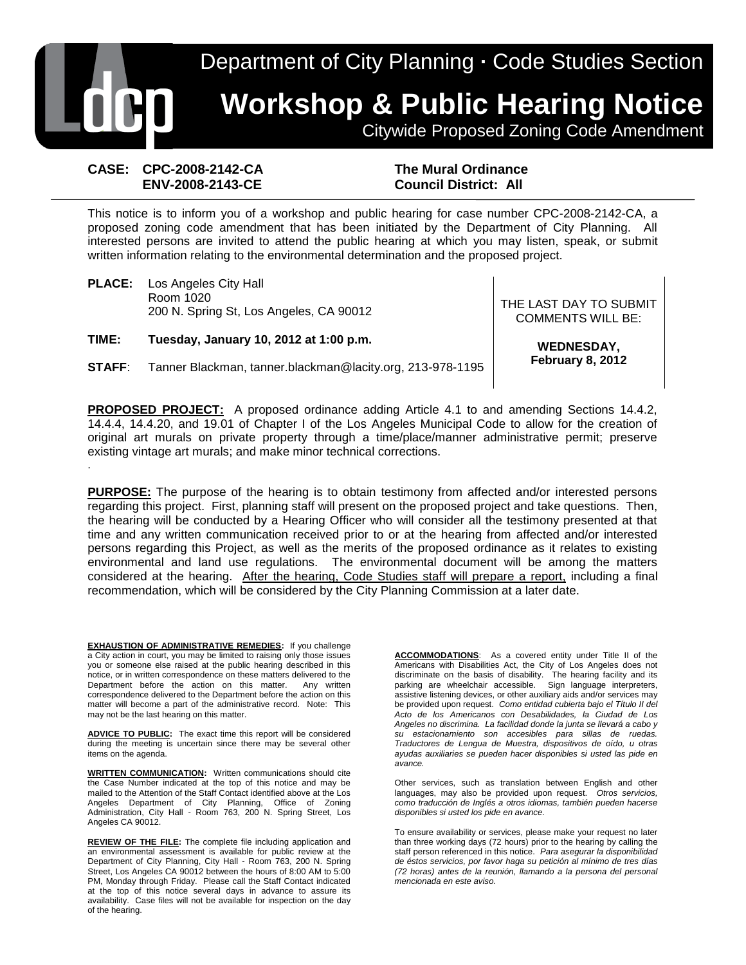Department of City Planning **·** Code Studies Section **Workshop & Public Hearing Notice** Citywide Proposed Zoning Code Amendment

#### **CASE: CPC-2008-2142-CA ENV-2008-2143-CE**

.

**The Mural Ordinance Council District: All** 

This notice is to inform you of a workshop and public hearing for case number CPC-2008-2142-CA, a proposed zoning code amendment that has been initiated by the Department of City Planning. All interested persons are invited to attend the public hearing at which you may listen, speak, or submit written information relating to the environmental determination and the proposed project.

**PLACE:** Los Angeles City Hall Room 1020 NOOIT TO 20<br>200 N. Spring St, Los Angeles, CA 90012 THE LAST DAY TO SUBMIT

**TIME: Tuesday, January 10, 2012 at 1:00 p.m.**

**STAFF**: Tanner Blackman, tanner.blackman@lacity.org, 213-978-1195

COMMENTS WILL BE:

**WEDNESDAY, February 8, 2012**

**PROPOSED PROJECT:** A proposed ordinance adding Article 4.1 to and amending Sections 14.4.2, 14.4.4, 14.4.20, and 19.01 of Chapter I of the Los Angeles Municipal Code to allow for the creation of original art murals on private property through a time/place/manner administrative permit; preserve existing vintage art murals; and make minor technical corrections.

**PURPOSE:** The purpose of the hearing is to obtain testimony from affected and/or interested persons regarding this project. First, planning staff will present on the proposed project and take questions. Then, the hearing will be conducted by a Hearing Officer who will consider all the testimony presented at that time and any written communication received prior to or at the hearing from affected and/or interested persons regarding this Project, as well as the merits of the proposed ordinance as it relates to existing environmental and land use regulations. The environmental document will be among the matters considered at the hearing. After the hearing, Code Studies staff will prepare a report, including a final recommendation, which will be considered by the City Planning Commission at a later date.

**EXHAUSTION OF ADMINISTRATIVE REMEDIES:** If you challenge a City action in court, you may be limited to raising only those issues you or someone else raised at the public hearing described in this notice, or in written correspondence on these matters delivered to the Department before the action on this matter. Any written correspondence delivered to the Department before the action on this matter will become a part of the administrative record. Note: This may not be the last hearing on this matter.

**ADVICE TO PUBLIC:** The exact time this report will be considered during the meeting is uncertain since there may be several other items on the agenda.

**WRITTEN COMMUNICATION:** Written communications should cite the Case Number indicated at the top of this notice and may be mailed to the Attention of the Staff Contact identified above at the Los Angeles Department of City Planning, Office of Zoning Administration, City Hall - Room 763, 200 N. Spring Street, Los Angeles CA 90012.

**REVIEW OF THE FILE:** The complete file including application and an environmental assessment is available for public review at the Department of City Planning, City Hall - Room 763, 200 N. Spring Street, Los Angeles CA 90012 between the hours of 8:00 AM to 5:00 PM, Monday through Friday. Please call the Staff Contact indicated at the top of this notice several days in advance to assure its availability. Case files will not be available for inspection on the day of the hearing.

**ACCOMMODATIONS**: As a covered entity under Title II of the Americans with Disabilities Act, the City of Los Angeles does not discriminate on the basis of disability. The hearing facility and its parking are wheelchair accessible. Sign language interpreters, assistive listening devices, or other auxiliary aids and/or services may be provided upon request. *Como entidad cubierta bajo el Título II del Acto de los Americanos con Desabilidades, la Ciudad de Los Angeles no discrimina. La facilidad donde la junta se llevará a cabo y su estacionamiento son accesibles para sillas de ruedas. Traductores de Lengua de Muestra, dispositivos de oído, u otras ayudas auxiliaries se pueden hacer disponibles si usted las pide en avance.*

Other services, such as translation between English and other languages, may also be provided upon request. *Otros servicios, como traducción de Inglés a otros idiomas, también pueden hacerse disponibles si usted los pide en avance.*

To ensure availability or services, please make your request no later than three working days (72 hours) prior to the hearing by calling the staff person referenced in this notice. *Para asegurar la disponibilidad de éstos servicios, por favor haga su petición al mínimo de tres días (72 horas) antes de la reunión, llamando a la persona del personal mencionada en este aviso.*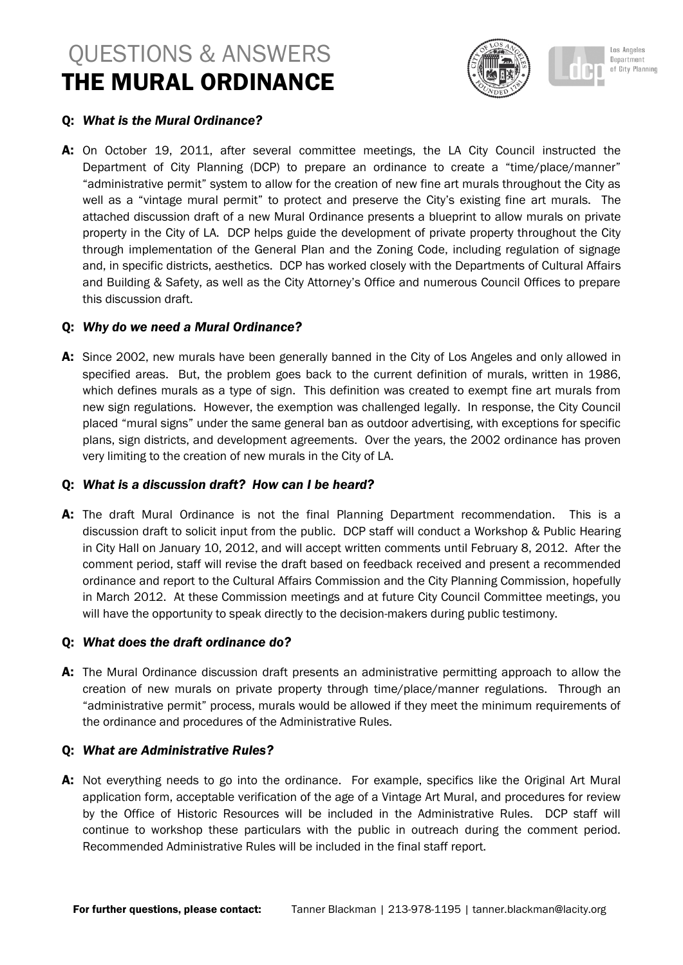# QUESTIONS & ANSWERS THE MURAL ORDINANCE





## Q: *What is the Mural Ordinance?*

A: On October 19, 2011, after several committee meetings, the LA City Council instructed the Department of City Planning (DCP) to prepare an ordinance to create a "time/place/manner" "administrative permit" system to allow for the creation of new fine art murals throughout the City as well as a "vintage mural permit" to protect and preserve the City's existing fine art murals. The attached discussion draft of a new Mural Ordinance presents a blueprint to allow murals on private property in the City of LA. DCP helps guide the development of private property throughout the City through implementation of the General Plan and the Zoning Code, including regulation of signage and, in specific districts, aesthetics. DCP has worked closely with the Departments of Cultural Affairs and Building & Safety, as well as the City Attorney's Office and numerous Council Offices to prepare this discussion draft.

## Q: *Why do we need a Mural Ordinance?*

A: Since 2002, new murals have been generally banned in the City of Los Angeles and only allowed in specified areas. But, the problem goes back to the current definition of murals, written in 1986, which defines murals as a type of sign. This definition was created to exempt fine art murals from new sign regulations. However, the exemption was challenged legally. In response, the City Council placed "mural signs" under the same general ban as outdoor advertising, with exceptions for specific plans, sign districts, and development agreements. Over the years, the 2002 ordinance has proven very limiting to the creation of new murals in the City of LA.

## Q: *What is a discussion draft? How can I be heard?*

A: The draft Mural Ordinance is not the final Planning Department recommendation. This is a discussion draft to solicit input from the public. DCP staff will conduct a Workshop & Public Hearing in City Hall on January 10, 2012, and will accept written comments until February 8, 2012. After the comment period, staff will revise the draft based on feedback received and present a recommended ordinance and report to the Cultural Affairs Commission and the City Planning Commission, hopefully in March 2012. At these Commission meetings and at future City Council Committee meetings, you will have the opportunity to speak directly to the decision-makers during public testimony.

## Q: *What does the draft ordinance do?*

A: The Mural Ordinance discussion draft presents an administrative permitting approach to allow the creation of new murals on private property through time/place/manner regulations. Through an "administrative permit" process, murals would be allowed if they meet the minimum requirements of the ordinance and procedures of the Administrative Rules.

## Q: *What are Administrative Rules?*

A: Not everything needs to go into the ordinance. For example, specifics like the Original Art Mural application form, acceptable verification of the age of a Vintage Art Mural, and procedures for review by the Office of Historic Resources will be included in the Administrative Rules. DCP staff will continue to workshop these particulars with the public in outreach during the comment period. Recommended Administrative Rules will be included in the final staff report.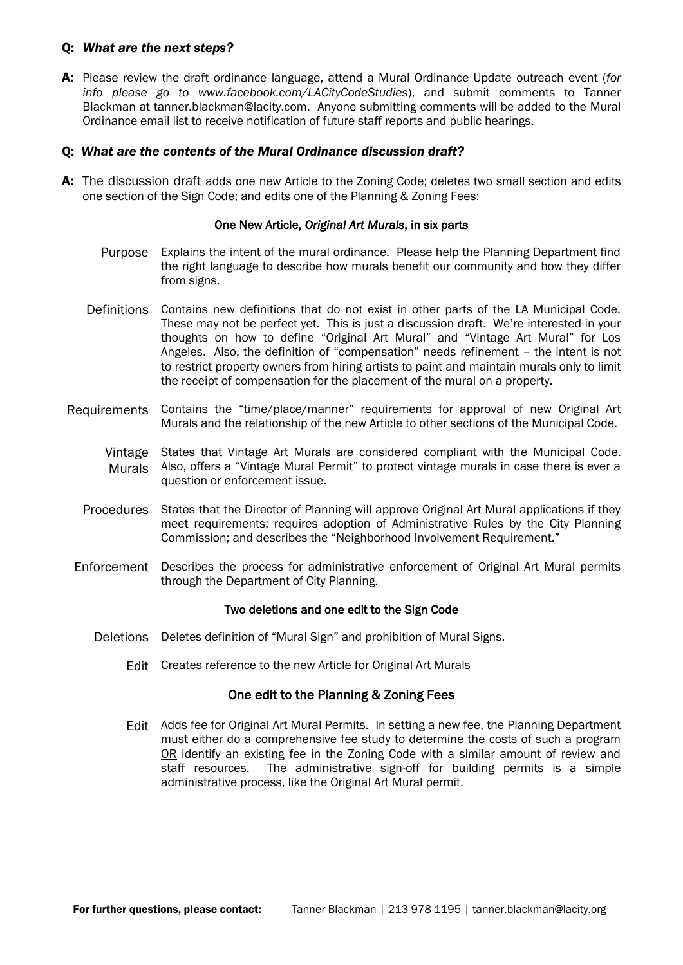#### Q: *What are the next steps?*

A: Please review the draft ordinance language, attend a Mural Ordinance Update outreach event (*for info please go to www.facebook.com/LACityCodeStudies*), and submit comments to Tanner Blackman at tanner.blackman@lacity.com. Anyone submitting comments will be added to the Mural Ordinance email list to receive notification of future staff reports and public hearings.

### Q: *What are the contents of the Mural Ordinance discussion draft?*

A: The discussion draft adds one new Article to the Zoning Code; deletes two small section and edits one section of the Sign Code; and edits one of the Planning & Zoning Fees:

#### One New Article, *Original Art Murals*, in six parts

- Purpose Explains the intent of the mural ordinance. Please help the Planning Department find the right language to describe how murals benefit our community and how they differ from signs.
- Definitions Contains new definitions that do not exist in other parts of the LA Municipal Code. These may not be perfect yet. This is just a discussion draft. We're interested in your thoughts on how to define "Original Art Mural" and "Vintage Art Mural" for Los Angeles. Also, the definition of "compensation" needs refinement – the intent is not to restrict property owners from hiring artists to paint and maintain murals only to limit the receipt of compensation for the placement of the mural on a property.
- Requirements Contains the "time/place/manner" requirements for approval of new Original Art Murals and the relationship of the new Article to other sections of the Municipal Code.
	- Vintage States that Vintage Art Murals are considered compliant with the Municipal Code. Murals Also, offers a "Vintage Mural Permit" to protect vintage murals in case there is ever a question or enforcement issue.
	- Procedures States that the Director of Planning will approve Original Art Mural applications if they meet requirements; requires adoption of Administrative Rules by the City Planning Commission; and describes the "Neighborhood Involvement Requirement."
- Enforcement Describes the process for administrative enforcement of Original Art Mural permits through the Department of City Planning.

#### Two deletions and one edit to the Sign Code

- Deletions Deletes definition of "Mural Sign" and prohibition of Mural Signs.
	- Edit Creates reference to the new Article for Original Art Murals

#### One edit to the Planning & Zoning Fees

Edit Adds fee for Original Art Mural Permits. In setting a new fee, the Planning Department must either do a comprehensive fee study to determine the costs of such a program OR identify an existing fee in the Zoning Code with a similar amount of review and staff resources. The administrative sign-off for building permits is a simple administrative process, like the Original Art Mural permit.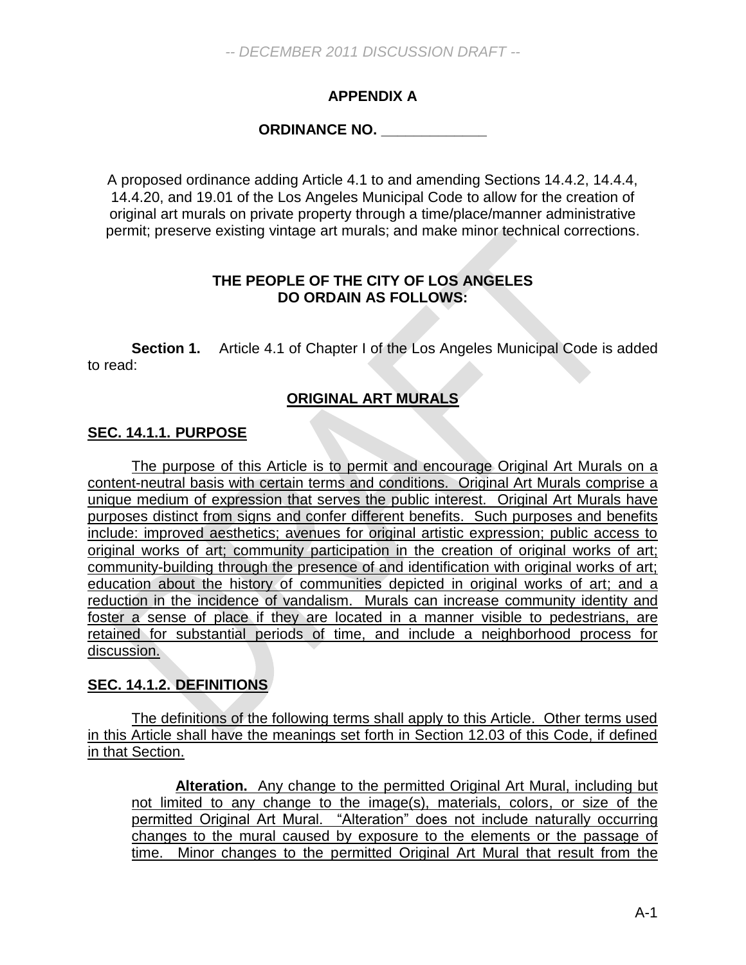# **APPENDIX A**

# **ORDINANCE NO. \_\_\_\_\_\_\_\_\_\_\_\_\_**

A proposed ordinance adding Article 4.1 to and amending Sections 14.4.2, 14.4.4, 14.4.20, and 19.01 of the Los Angeles Municipal Code to allow for the creation of original art murals on private property through a time/place/manner administrative permit; preserve existing vintage art murals; and make minor technical corrections.

## **THE PEOPLE OF THE CITY OF LOS ANGELES DO ORDAIN AS FOLLOWS:**

**Section 1.** Article 4.1 of Chapter I of the Los Angeles Municipal Code is added to read:

# **ORIGINAL ART MURALS**

## **SEC. 14.1.1. PURPOSE**

The purpose of this Article is to permit and encourage Original Art Murals on a content-neutral basis with certain terms and conditions. Original Art Murals comprise a unique medium of expression that serves the public interest. Original Art Murals have purposes distinct from signs and confer different benefits. Such purposes and benefits include: improved aesthetics; avenues for original artistic expression; public access to original works of art; community participation in the creation of original works of art; community-building through the presence of and identification with original works of art; education about the history of communities depicted in original works of art; and a reduction in the incidence of vandalism. Murals can increase community identity and foster a sense of place if they are located in a manner visible to pedestrians, are retained for substantial periods of time, and include a neighborhood process for discussion.

## **SEC. 14.1.2. DEFINITIONS**

The definitions of the following terms shall apply to this Article. Other terms used in this Article shall have the meanings set forth in Section 12.03 of this Code, if defined in that Section.

**Alteration.** Any change to the permitted Original Art Mural, including but not limited to any change to the image(s), materials, colors, or size of the permitted Original Art Mural. "Alteration" does not include naturally occurring changes to the mural caused by exposure to the elements or the passage of time. Minor changes to the permitted Original Art Mural that result from the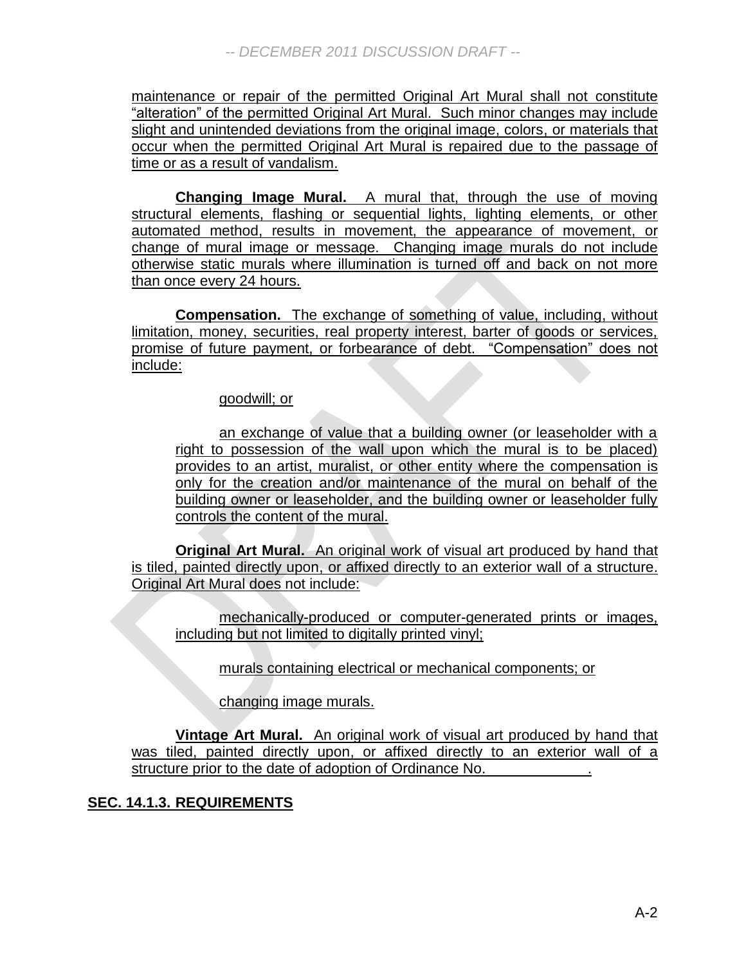maintenance or repair of the permitted Original Art Mural shall not constitute "alteration" of the permitted Original Art Mural. Such minor changes may include slight and unintended deviations from the original image, colors, or materials that occur when the permitted Original Art Mural is repaired due to the passage of time or as a result of vandalism.

**Changing Image Mural.** A mural that, through the use of moving structural elements, flashing or sequential lights, lighting elements, or other automated method, results in movement, the appearance of movement, or change of mural image or message. Changing image murals do not include otherwise static murals where illumination is turned off and back on not more than once every 24 hours.

**Compensation.** The exchange of something of value, including, without limitation, money, securities, real property interest, barter of goods or services, promise of future payment, or forbearance of debt. "Compensation" does not include:

## goodwill; or

an exchange of value that a building owner (or leaseholder with a right to possession of the wall upon which the mural is to be placed) provides to an artist, muralist, or other entity where the compensation is only for the creation and/or maintenance of the mural on behalf of the building owner or leaseholder, and the building owner or leaseholder fully controls the content of the mural.

**Original Art Mural.** An original work of visual art produced by hand that is tiled, painted directly upon, or affixed directly to an exterior wall of a structure. Original Art Mural does not include:

mechanically-produced or computer-generated prints or images, including but not limited to digitally printed vinyl;

murals containing electrical or mechanical components; or

changing image murals.

**Vintage Art Mural.** An original work of visual art produced by hand that was tiled, painted directly upon, or affixed directly to an exterior wall of a structure prior to the date of adoption of Ordinance No.

## **SEC. 14.1.3. REQUIREMENTS**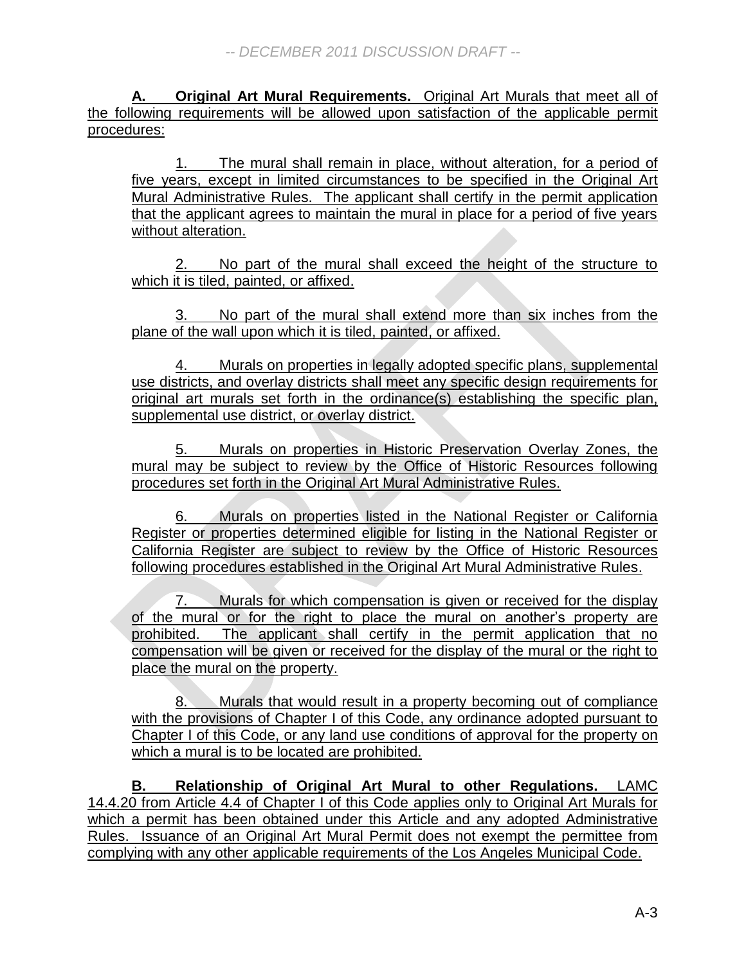**A. Original Art Mural Requirements.** Original Art Murals that meet all of the following requirements will be allowed upon satisfaction of the applicable permit procedures:

1. The mural shall remain in place, without alteration, for a period of five years, except in limited circumstances to be specified in the Original Art Mural Administrative Rules. The applicant shall certify in the permit application that the applicant agrees to maintain the mural in place for a period of five years without alteration.

No part of the mural shall exceed the height of the structure to which it is tiled, painted, or affixed.

No part of the mural shall extend more than six inches from the plane of the wall upon which it is tiled, painted, or affixed.

4. Murals on properties in legally adopted specific plans, supplemental use districts, and overlay districts shall meet any specific design requirements for original art murals set forth in the ordinance(s) establishing the specific plan, supplemental use district, or overlay district.

5. Murals on properties in Historic Preservation Overlay Zones, the mural may be subject to review by the Office of Historic Resources following procedures set forth in the Original Art Mural Administrative Rules.

6. Murals on properties listed in the National Register or California Register or properties determined eligible for listing in the National Register or California Register are subject to review by the Office of Historic Resources following procedures established in the Original Art Mural Administrative Rules.

7. Murals for which compensation is given or received for the display of the mural or for the right to place the mural on another's property are prohibited. The applicant shall certify in the permit application that no compensation will be given or received for the display of the mural or the right to place the mural on the property.

8. Murals that would result in a property becoming out of compliance with the provisions of Chapter I of this Code, any ordinance adopted pursuant to Chapter I of this Code, or any land use conditions of approval for the property on which a mural is to be located are prohibited.

**B. Relationship of Original Art Mural to other Regulations.** LAMC 14.4.20 from Article 4.4 of Chapter I of this Code applies only to Original Art Murals for which a permit has been obtained under this Article and any adopted Administrative Rules. Issuance of an Original Art Mural Permit does not exempt the permittee from complying with any other applicable requirements of the Los Angeles Municipal Code.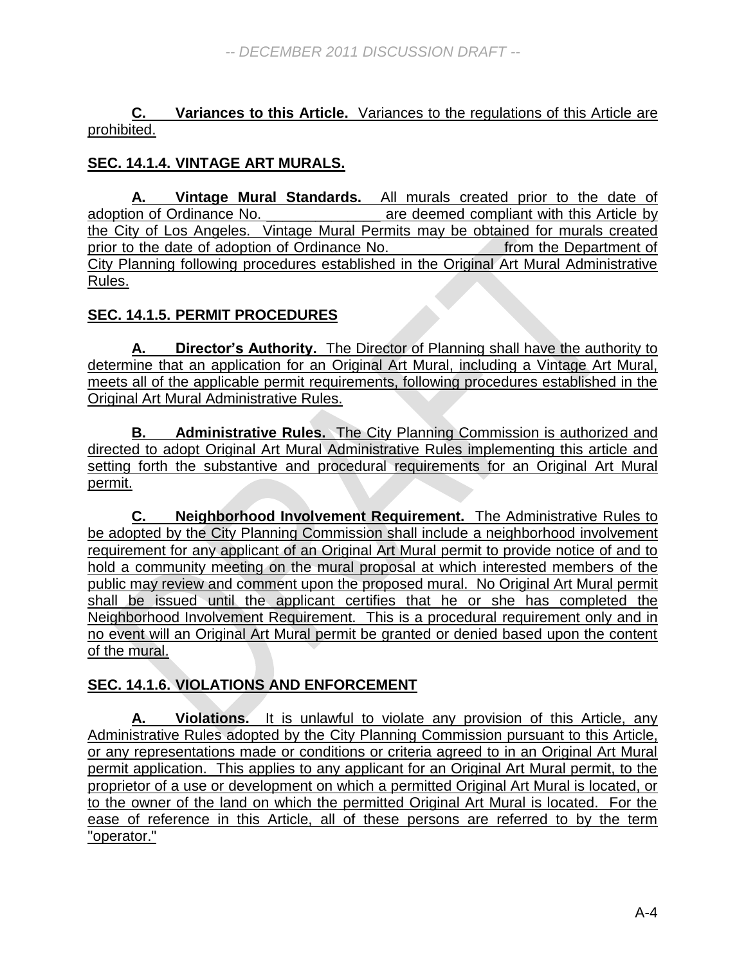**C. Variances to this Article.** Variances to the regulations of this Article are prohibited.

# **SEC. 14.1.4. VINTAGE ART MURALS.**

**A. Vintage Mural Standards.** All murals created prior to the date of adoption of Ordinance No. \_\_\_\_\_\_\_\_\_\_\_\_\_\_\_\_ are deemed compliant with this Article by the City of Los Angeles. Vintage Mural Permits may be obtained for murals created prior to the date of adoption of Ordinance No. \_\_\_\_\_\_\_\_\_\_\_\_\_ from the Department of City Planning following procedures established in the Original Art Mural Administrative Rules.

# **SEC. 14.1.5. PERMIT PROCEDURES**

**A. Director's Authority.** The Director of Planning shall have the authority to determine that an application for an Original Art Mural, including a Vintage Art Mural, meets all of the applicable permit requirements, following procedures established in the Original Art Mural Administrative Rules.

**B. Administrative Rules.** The City Planning Commission is authorized and directed to adopt Original Art Mural Administrative Rules implementing this article and setting forth the substantive and procedural requirements for an Original Art Mural permit.

**C. Neighborhood Involvement Requirement.** The Administrative Rules to be adopted by the City Planning Commission shall include a neighborhood involvement requirement for any applicant of an Original Art Mural permit to provide notice of and to hold a community meeting on the mural proposal at which interested members of the public may review and comment upon the proposed mural. No Original Art Mural permit shall be issued until the applicant certifies that he or she has completed the Neighborhood Involvement Requirement. This is a procedural requirement only and in no event will an Original Art Mural permit be granted or denied based upon the content of the mural.

# **SEC. 14.1.6. VIOLATIONS AND ENFORCEMENT**

**A. Violations.** It is unlawful to violate any provision of this Article, any Administrative Rules adopted by the City Planning Commission pursuant to this Article, or any representations made or conditions or criteria agreed to in an Original Art Mural permit application. This applies to any applicant for an Original Art Mural permit, to the proprietor of a use or development on which a permitted Original Art Mural is located, or to the owner of the land on which the permitted Original Art Mural is located. For the ease of reference in this Article, all of these persons are referred to by the term "operator."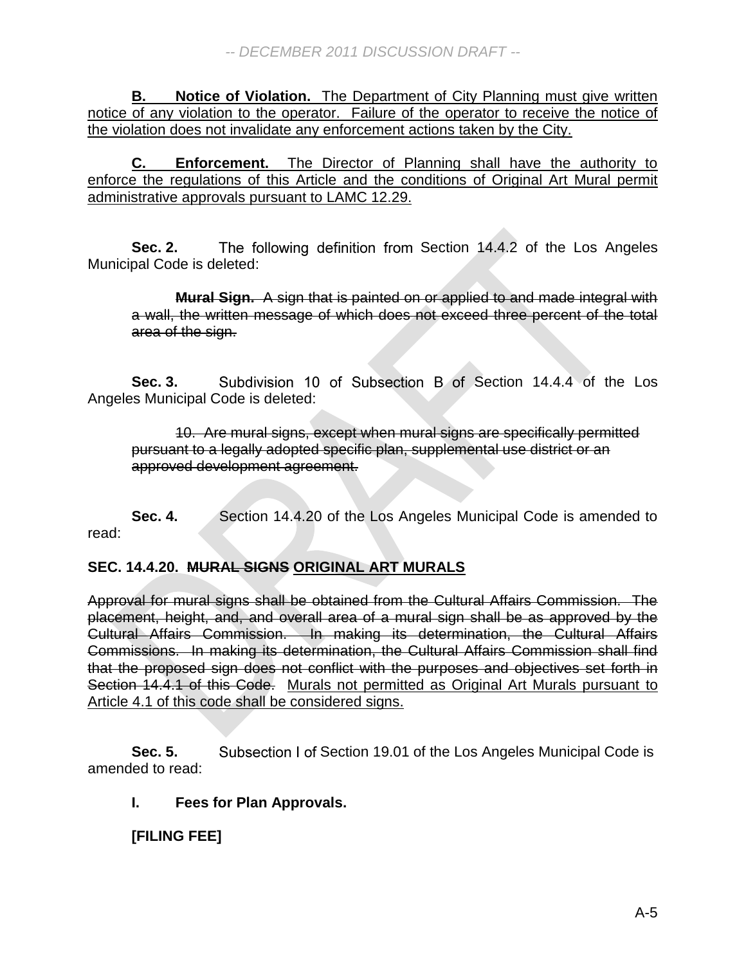**B. Notice of Violation.** The Department of City Planning must give written notice of any violation to the operator. Failure of the operator to receive the notice of the violation does not invalidate any enforcement actions taken by the City.

**C. Enforcement.** The Director of Planning shall have the authority to enforce the regulations of this Article and the conditions of Original Art Mural permit administrative approvals pursuant to LAMC 12.29.

**Sec. 2.** The following definition from Section 14.4.2 of the Los Angeles Municipal Code is deleted:

**Mural Sign.** A sign that is painted on or applied to and made integral with a wall, the written message of which does not exceed three percent of the total area of the sign.

**Sec. 3.** Subdivision 10 of Subsection B of Section 14.4.4 of the Los Angeles Municipal Code is deleted:

10. Are mural signs, except when mural signs are specifically permitted pursuant to a legally adopted specific plan, supplemental use district or an approved development agreement.

**Sec. 4.** Section 14.4.20 of the Los Angeles Municipal Code is amended to read:

# **SEC. 14.4.20. MURAL SIGNS ORIGINAL ART MURALS**

Approval for mural signs shall be obtained from the Cultural Affairs Commission. The placement, height, and, and overall area of a mural sign shall be as approved by the Cultural Affairs Commission. In making its determination, the Cultural Affairs Commissions. In making its determination, the Cultural Affairs Commission shall find that the proposed sign does not conflict with the purposes and objectives set forth in Section 14.4.1 of this Code. Murals not permitted as Original Art Murals pursuant to Article 4.1 of this code shall be considered signs.

**Sec. 5.** Subsection I of Section 19.01 of the Los Angeles Municipal Code is amended to read:

# **I. Fees for Plan Approvals.**

# **[FILING FEE]**